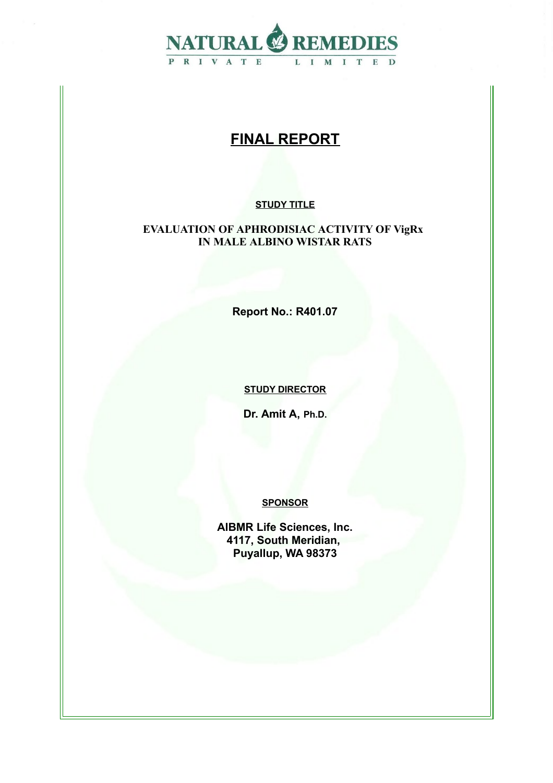

# **FINAL REPORT**

### **STUDY TITLE**

#### **EVALUATION OF APHRODISIAC ACTIVITY OF VigRx IN MALE ALBINO WISTAR RATS**

**Report No.: R401.07**

**STUDY DIRECTOR**

**Dr. Amit A, Ph.D.**

**SPONSOR**

**AIBMR Life Sciences, Inc. 4117, South Meridian, Puyallup, WA 98373**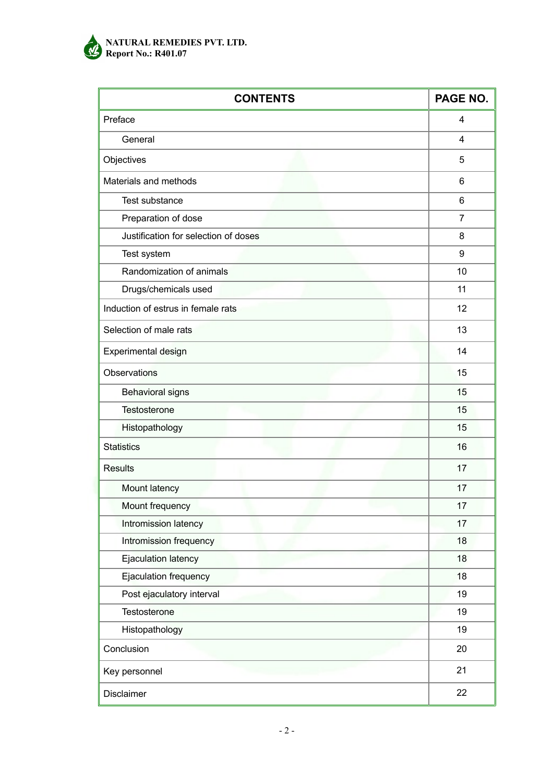

#### **NATURAL REMEDIES PVT. LTD. Report No.: R401.07**

| <b>CONTENTS</b>                      | PAGE NO.       |
|--------------------------------------|----------------|
| Preface                              | 4              |
| General                              | 4              |
| Objectives                           | 5              |
| Materials and methods                | 6              |
| Test substance                       | 6              |
| Preparation of dose                  | $\overline{7}$ |
| Justification for selection of doses | 8              |
| Test system                          | 9              |
| Randomization of animals             | 10             |
| Drugs/chemicals used                 | 11             |
| Induction of estrus in female rats   | 12             |
| Selection of male rats               | 13             |
| Experimental design                  | 14             |
| Observations                         | 15             |
| <b>Behavioral signs</b>              | 15             |
| <b>Testosterone</b>                  | 15             |
| Histopathology                       | 15             |
| <b>Statistics</b>                    | 16             |
| <b>Results</b>                       | 17             |
| Mount latency                        | 17             |
| Mount frequency                      | 17             |
| Intromission latency                 | 17             |
| Intromission frequency               | 18             |
| Ejaculation latency                  | 18             |
| Ejaculation frequency                | 18             |
| Post ejaculatory interval            | 19             |
| Testosterone                         | 19             |
| Histopathology                       | 19             |
| Conclusion                           | 20             |
| Key personnel                        | 21             |
| Disclaimer                           | 22             |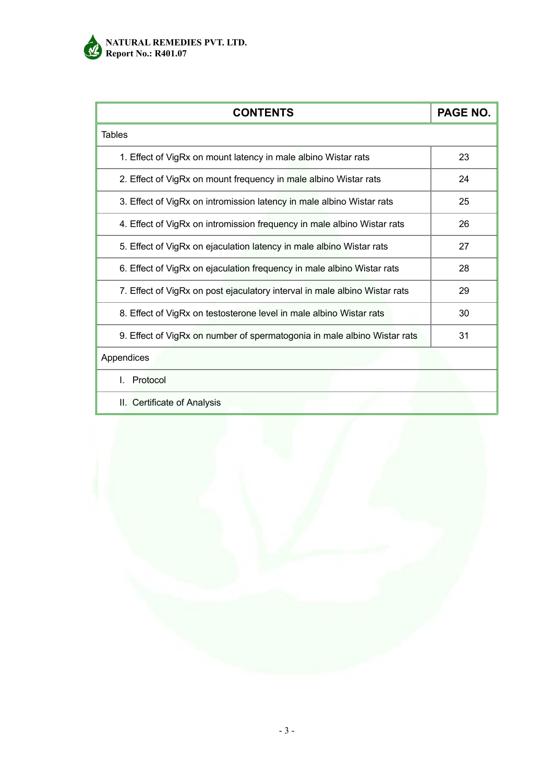

| <b>CONTENTS</b>                                                            | PAGE NO. |
|----------------------------------------------------------------------------|----------|
| <b>Tables</b>                                                              |          |
| 1. Effect of VigRx on mount latency in male albino Wistar rats             | 23       |
| 2. Effect of VigRx on mount frequency in male albino Wistar rats           | 24       |
| 3. Effect of VigRx on intromission latency in male albino Wistar rats      | 25       |
| 4. Effect of VigRx on intromission frequency in male albino Wistar rats    | 26       |
| 5. Effect of VigRx on ejaculation latency in male albino Wistar rats       | 27       |
| 6. Effect of VigRx on ejaculation frequency in male albino Wistar rats     | 28       |
| 7. Effect of VigRx on post ejaculatory interval in male albino Wistar rats | 29       |
| 8. Effect of VigRx on testosterone level in male albino Wistar rats        | 30       |
| 9. Effect of VigRx on number of spermatogonia in male albino Wistar rats   | 31       |
| Appendices                                                                 |          |
| Protocol                                                                   |          |
| II. Certificate of Analysis                                                |          |

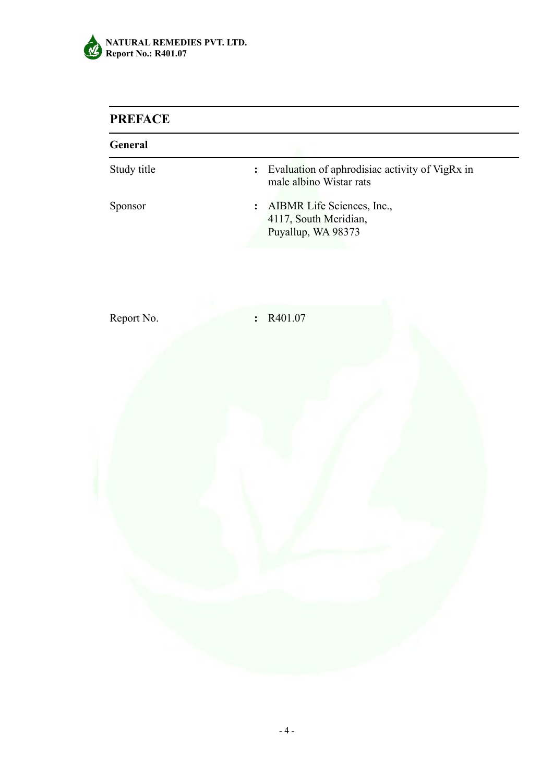

## **PREFACE**

| General     |                                                                                             |
|-------------|---------------------------------------------------------------------------------------------|
| Study title | Evaluation of aphrodisiac activity of VigRx in<br>$\ddot{\cdot}$<br>male albino Wistar rats |
| Sponsor     | AIBMR Life Sciences, Inc.,<br>:<br>4117, South Meridian,<br>Puyallup, WA 98373              |
| Report No.  | R401.07<br>$\ddot{\cdot}$                                                                   |
|             |                                                                                             |
|             |                                                                                             |
|             |                                                                                             |
|             |                                                                                             |
|             |                                                                                             |
|             |                                                                                             |
|             |                                                                                             |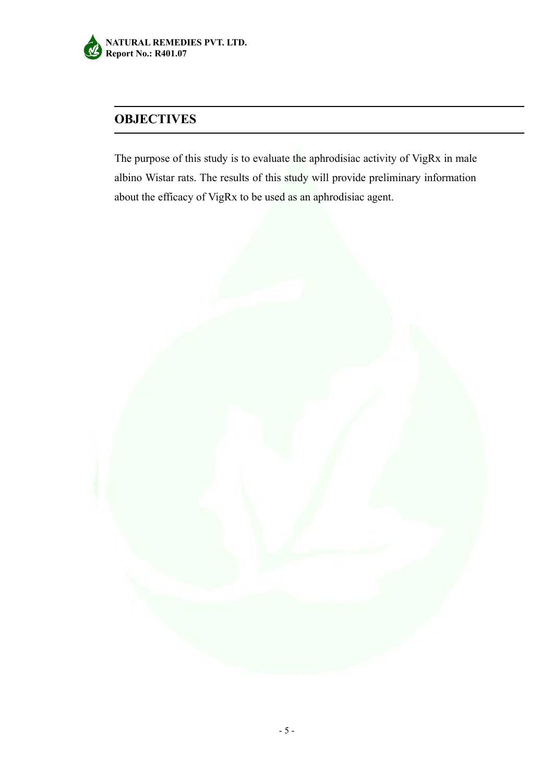

## **OBJECTIVES**

The purpose of this study is to evaluate the aphrodisiac activity of VigRx in male albino Wistar rats. The results of this study will provide preliminary information about the efficacy of VigRx to be used as an aphrodisiac agent.

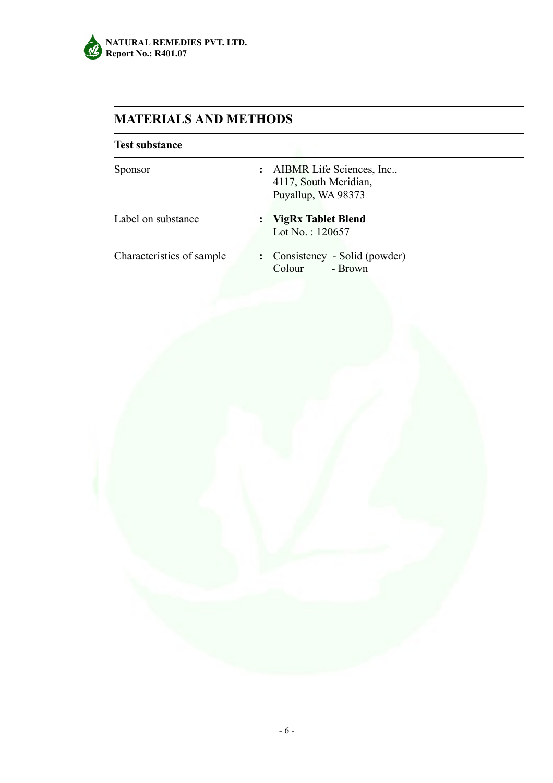

# **MATERIALS AND METHODS**

| <b>Test substance</b>     |                                                                                             |
|---------------------------|---------------------------------------------------------------------------------------------|
| <b>Sponsor</b>            | AIBMR Life Sciences, Inc.,<br>$\ddot{\cdot}$<br>4117, South Meridian,<br>Puyallup, WA 98373 |
| Label on substance        | <b>VigRx Tablet Blend</b><br>$\ddot{\phantom{a}}$<br>Lot No.: $120657$                      |
| Characteristics of sample | : Consistency - Solid (powder)<br>- Brown<br>Colour                                         |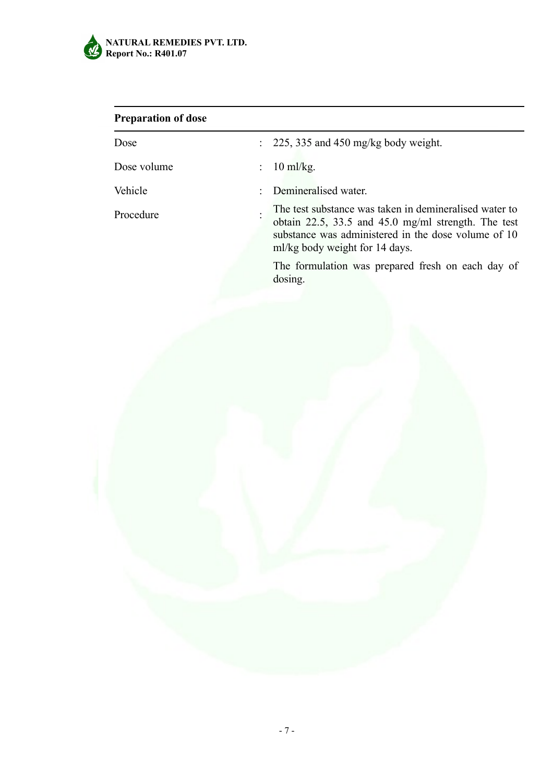

# **Preparation of dose**

| Dose        |    | $\therefore$ 225, 335 and 450 mg/kg body weight.                                                                                                                                                              |
|-------------|----|---------------------------------------------------------------------------------------------------------------------------------------------------------------------------------------------------------------|
| Dose volume | t. | $10 \text{ ml/kg}$ .                                                                                                                                                                                          |
| Vehicle     |    | : Demineralised water.                                                                                                                                                                                        |
| Procedure   |    | The test substance was taken in demineralised water to<br>obtain $22.5$ , $33.5$ and $45.0$ mg/ml strength. The test<br>substance was administered in the dose volume of 10<br>ml/kg body weight for 14 days. |
|             |    | The formulation was prepared fresh on each day of<br>dosing.                                                                                                                                                  |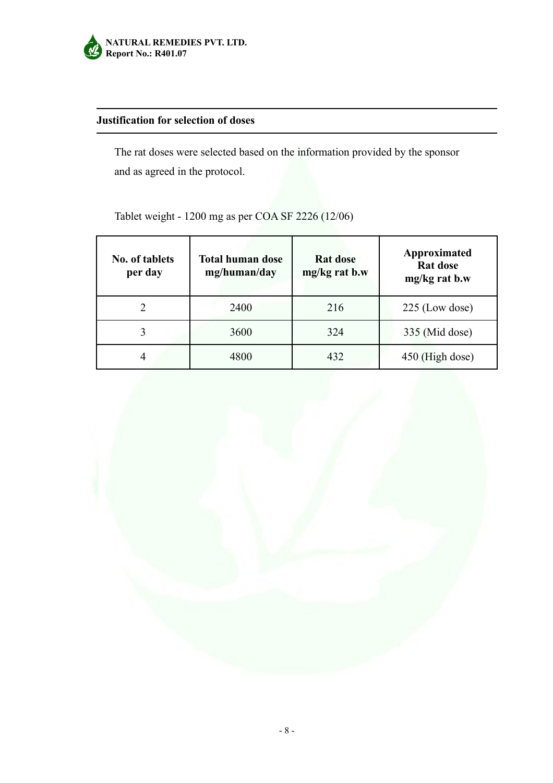

## **Justification for selection of doses**

The rat doses were selected based on the information provided by the sponsor and as agreed in the protocol.

| <b>No. of tablets</b><br>per day | <b>Total human dose</b><br>mg/human/day | <b>Rat dose</b><br>mg/kg rat b.w | Approximated<br>Rat dose<br>mg/kg rat b.w |
|----------------------------------|-----------------------------------------|----------------------------------|-------------------------------------------|
|                                  | 2400                                    | 216                              | $225$ (Low dose)                          |
|                                  | 3600                                    | 324                              | 335 (Mid dose)                            |
| 4                                | 4800                                    | 432                              | 450 (High dose)                           |

Tablet weight - 1200 mg as per COA SF 2226 (12/06)

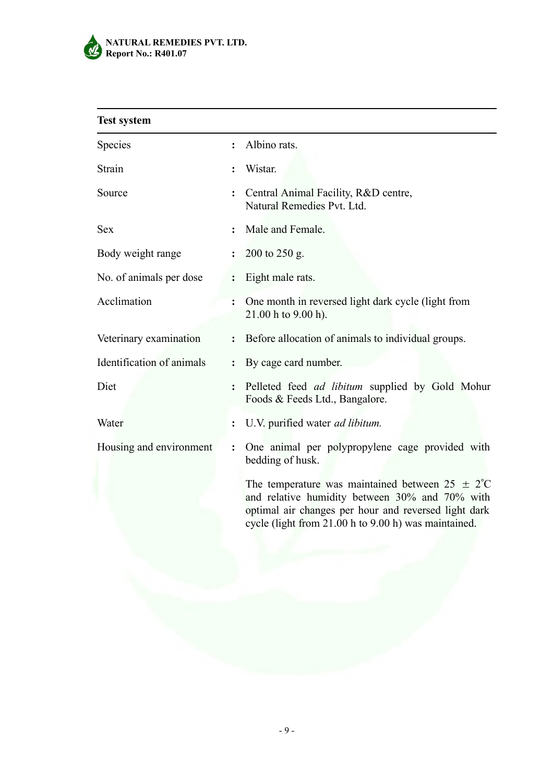

| <b>Test system</b>        |                |                                                                                                                                                                                                                               |
|---------------------------|----------------|-------------------------------------------------------------------------------------------------------------------------------------------------------------------------------------------------------------------------------|
| <b>Species</b>            | $\ddot{\cdot}$ | Albino rats.                                                                                                                                                                                                                  |
| Strain                    |                | Wistar.                                                                                                                                                                                                                       |
| Source                    |                | Central Animal Facility, R&D centre,<br>Natural Remedies Pvt. Ltd.                                                                                                                                                            |
| <b>Sex</b>                | $\ddot{\cdot}$ | Male and Female.                                                                                                                                                                                                              |
| Body weight range         | $\ddot{\cdot}$ | 200 to 250 g.                                                                                                                                                                                                                 |
| No. of animals per dose   | $\ddot{\cdot}$ | Eight male rats.                                                                                                                                                                                                              |
| Acclimation               | $\ddot{\cdot}$ | One month in reversed light dark cycle (light from<br>21.00 h to 9.00 h).                                                                                                                                                     |
| Veterinary examination    | $\ddot{\cdot}$ | Before allocation of animals to individual groups.                                                                                                                                                                            |
| Identification of animals | $\ddot{\cdot}$ | By cage card number.                                                                                                                                                                                                          |
| Diet                      | $\ddot{\cdot}$ | Pelleted feed ad libitum supplied by Gold Mohur<br>Foods & Feeds Ltd., Bangalore.                                                                                                                                             |
| Water                     |                | U.V. purified water <i>ad libitum</i> .                                                                                                                                                                                       |
| Housing and environment   |                | One animal per polypropylene cage provided with<br>bedding of husk.                                                                                                                                                           |
|                           |                | The temperature was maintained between $25 \pm 2^{\circ}$ C<br>and relative humidity between 30% and 70% with<br>optimal air changes per hour and reversed light dark<br>cycle (light from 21.00 h to 9.00 h) was maintained. |
|                           |                |                                                                                                                                                                                                                               |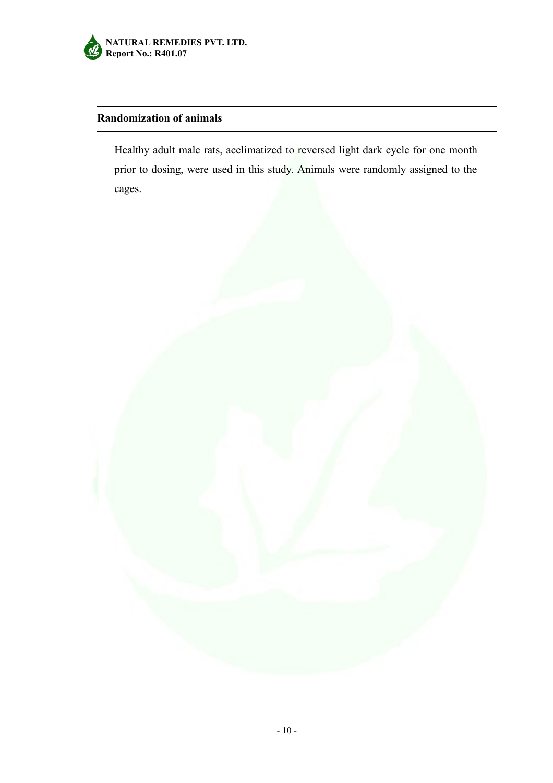

## **Randomization of animals**

Healthy adult male rats, acclimatized to reversed light dark cycle for one month prior to dosing, were used in this study. Animals were randomly assigned to the cages.

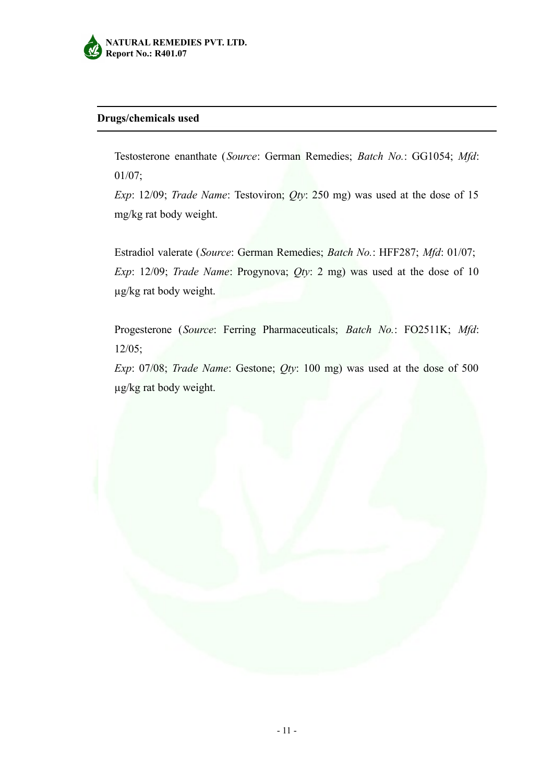

#### **Drugs/chemicals used**

Testosterone enanthate (*Source*: German Remedies; *Batch No.*: GG1054; *Mfd*: 01/07;

*Exp*: 12/09; *Trade Name*: Testoviron; *Qty*: 250 mg) was used at the dose of 15 mg/kg rat body weight.

Estradiol valerate (*Source*: German Remedies; *Batch No.*: HFF287; *Mfd*: 01/07; *Exp*: 12/09; *Trade Name*: Progynova; *Qty*: 2 mg) was used at the dose of 10 µg/kg rat body weight.

Progesterone (*Source*: Ferring Pharmaceuticals; *Batch No.*: FO2511K; *Mfd*: 12/05;

*Exp*: 07/08; *Trade Name*: Gestone; *Qty*: 100 mg) was used at the dose of 500 µg/kg rat body weight.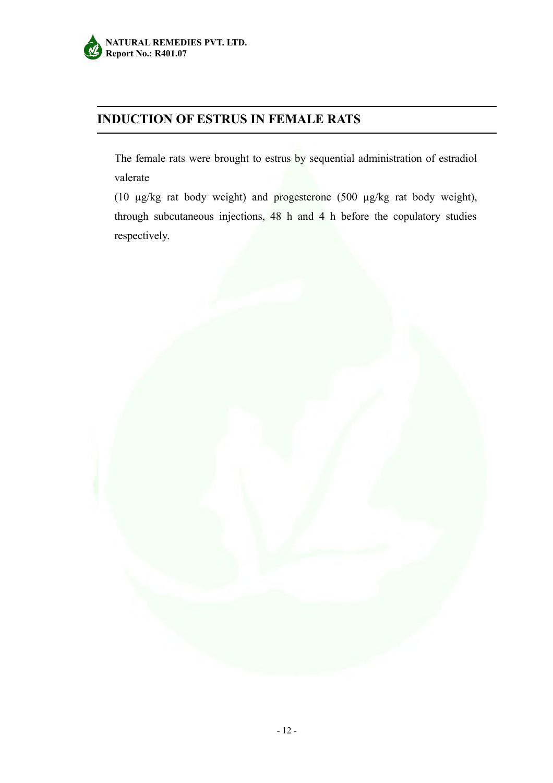## **INDUCTION OF ESTRUS IN FEMALE RATS**

The female rats were brought to estrus by sequential administration of estradiol valerate

(10 µg/kg rat body weight) and progesterone (500 µg/kg rat body weight), through subcutaneous injections, 48 h and 4 h before the copulatory studies respectively.

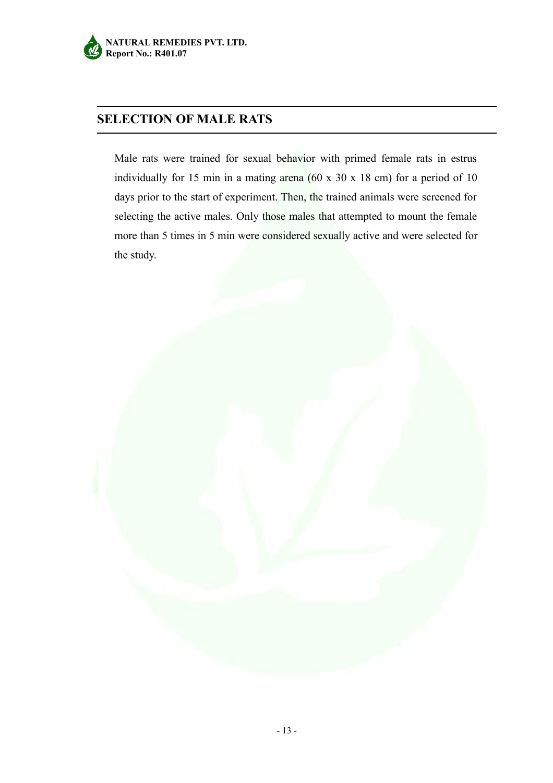## **SELECTION OF MALE RATS**

Male rats were trained for sexual behavior with primed female rats in estrus individually for 15 min in a mating arena (60 x 30 x 18 cm) for a period of 10 days prior to the start of experiment. Then, the trained animals were screened for selecting the active males. Only those males that attempted to mount the female more than 5 times in 5 min were considered sexually active and were selected for the study.

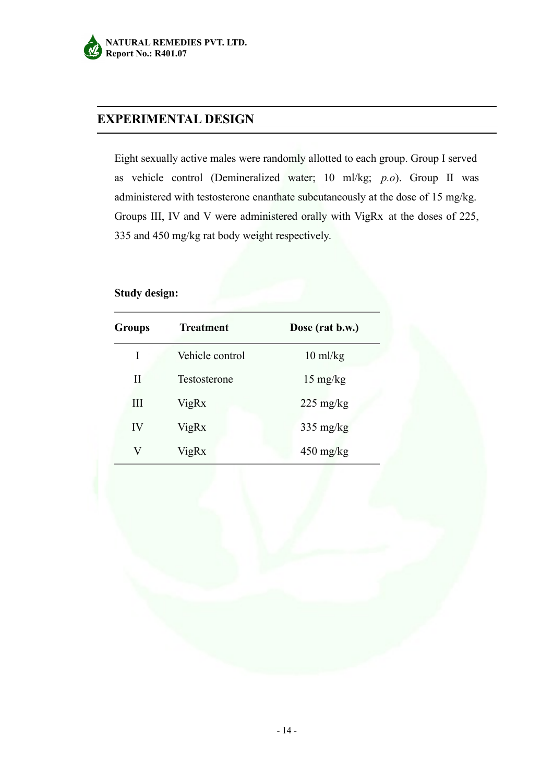## **EXPERIMENTAL DESIGN**

Eight sexually active males were randomly allotted to each group. Group I served as vehicle control (Demineralized water; 10 ml/kg; *p.o*). Group II was administered with testosterone enanthate subcutaneously at the dose of 15 mg/kg. Groups III, IV and V were administered orally with VigRx at the doses of 225, 335 and 450 mg/kg rat body weight respectively.

#### **Study design:**

| <b>Groups</b> | <b>Treatment</b> | Dose (rat b.w.)     |
|---------------|------------------|---------------------|
| I             | Vehicle control  | $10 \text{ ml/kg}$  |
| Н             | Testosterone     | $15 \text{ mg/kg}$  |
| Ш             | VigRx            | $225 \text{ mg/kg}$ |
| IV            | VigRx            | $335 \text{ mg/kg}$ |
| V             | VigRx            | $450 \text{ mg/kg}$ |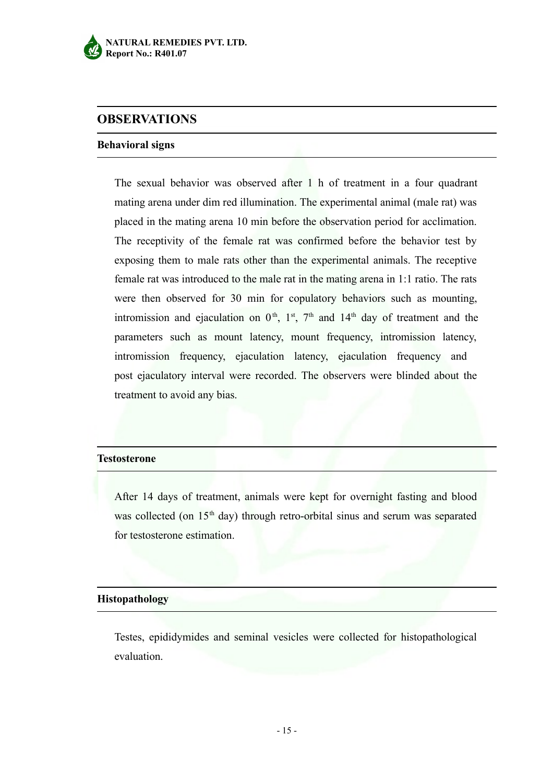

## **OBSERVATIONS**

#### **Behavioral signs**

The sexual behavior was observed after 1 h of treatment in a four quadrant mating arena under dim red illumination. The experimental animal (male rat) was placed in the mating arena 10 min before the observation period for acclimation. The receptivity of the female rat was confirmed before the behavior test by exposing them to male rats other than the experimental animals. The receptive female rat was introduced to the male rat in the mating arena in 1:1 ratio. The rats were then observed for 30 min for copulatory behaviors such as mounting, intromission and ejaculation on  $0<sup>th</sup>$ ,  $1<sup>st</sup>$ ,  $7<sup>th</sup>$  and  $14<sup>th</sup>$  day of treatment and the parameters such as mount latency, mount frequency, intromission latency, intromission frequency, ejaculation latency, ejaculation frequency and post ejaculatory interval were recorded. The observers were blinded about the treatment to avoid any bias.

#### **Testosterone**

After 14 days of treatment, animals were kept for overnight fasting and blood was collected (on 15<sup>th</sup> day) through retro-orbital sinus and serum was separated for testosterone estimation.

#### **Histopathology**

Testes, epididymides and seminal vesicles were collected for histopathological evaluation.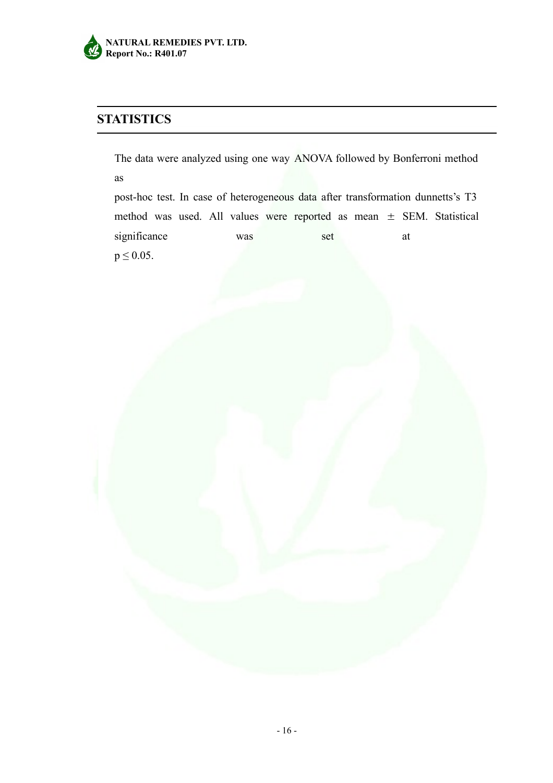

# **STATISTICS**

The data were analyzed using one way ANOVA followed by Bonferroni method as

post-hoc test. In case of heterogeneous data after transformation dunnetts's T3 method was used. All values were reported as mean  $\pm$  SEM. Statistical significance was set at  $p \le 0.05$ .

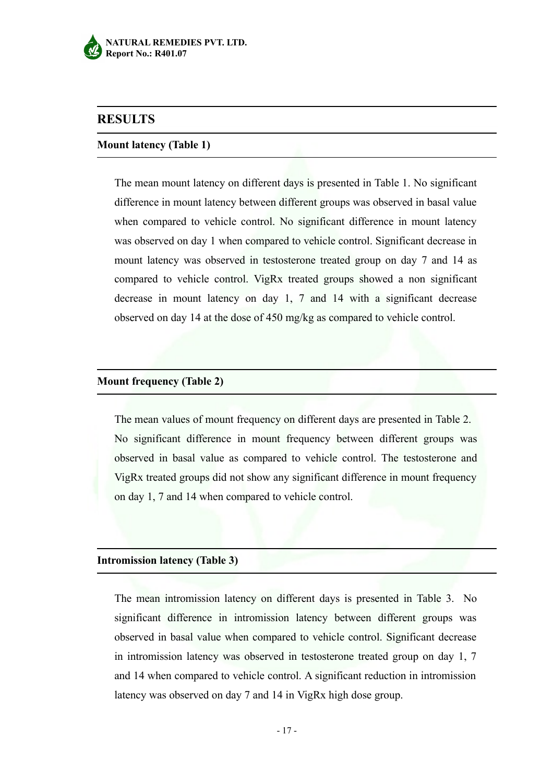

## **RESULTS**

#### **Mount latency (Table 1)**

The mean mount latency on different days is presented in Table 1. No significant difference in mount latency between different groups was observed in basal value when compared to vehicle control. No significant difference in mount latency was observed on day 1 when compared to vehicle control. Significant decrease in mount latency was observed in testosterone treated group on day 7 and 14 as compared to vehicle control. VigRx treated groups showed a non significant decrease in mount latency on day 1, 7 and 14 with a significant decrease observed on day 14 at the dose of 450 mg/kg as compared to vehicle control.

#### **Mount frequency (Table 2)**

The mean values of mount frequency on different days are presented in Table 2. No significant difference in mount frequency between different groups was observed in basal value as compared to vehicle control. The testosterone and VigRx treated groups did not show any significant difference in mount frequency on day 1, 7 and 14 when compared to vehicle control.

#### **Intromission latency (Table 3)**

The mean intromission latency on different days is presented in Table 3. No significant difference in intromission latency between different groups was observed in basal value when compared to vehicle control. Significant decrease in intromission latency was observed in testosterone treated group on day 1, 7 and 14 when compared to vehicle control. A significant reduction in intromission latency was observed on day 7 and 14 in VigRx high dose group.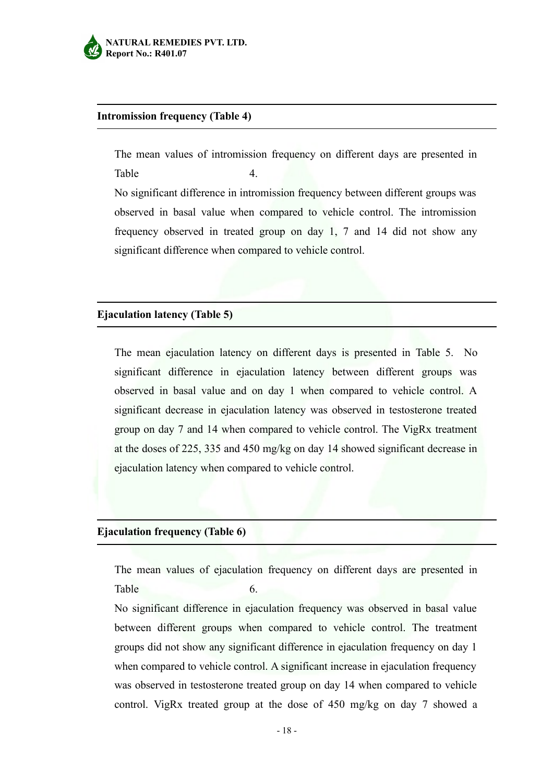

#### **Intromission frequency (Table 4)**

The mean values of intromission frequency on different days are presented in Table 4. No significant difference in intromission frequency between different groups was observed in basal value when compared to vehicle control. The intromission

frequency observed in treated group on day 1, 7 and 14 did not show any

significant difference when compared to vehicle control.

## **Ejaculation latency (Table 5)**

The mean ejaculation latency on different days is presented in Table 5. No significant difference in ejaculation latency between different groups was observed in basal value and on day 1 when compared to vehicle control. A significant decrease in ejaculation latency was observed in testosterone treated group on day 7 and 14 when compared to vehicle control. The VigRx treatment at the doses of 225, 335 and 450 mg/kg on day 14 showed significant decrease in ejaculation latency when compared to vehicle control.

#### **Ejaculation frequency (Table 6)**

The mean values of ejaculation frequency on different days are presented in Table 6.

No significant difference in ejaculation frequency was observed in basal value between different groups when compared to vehicle control. The treatment groups did not show any significant difference in ejaculation frequency on day 1 when compared to vehicle control. A significant increase in ejaculation frequency was observed in testosterone treated group on day 14 when compared to vehicle control. VigRx treated group at the dose of 450 mg/kg on day 7 showed a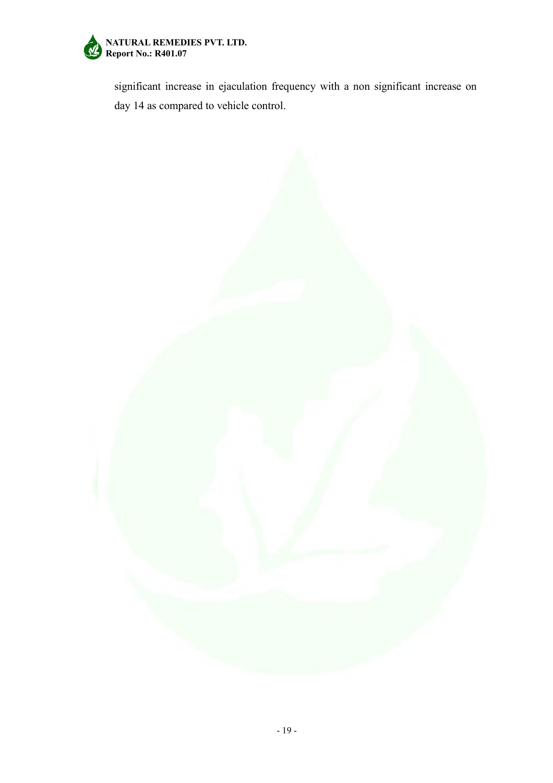

significant increase in ejaculation frequency with a non significant increase on day 14 as compared to vehicle control.

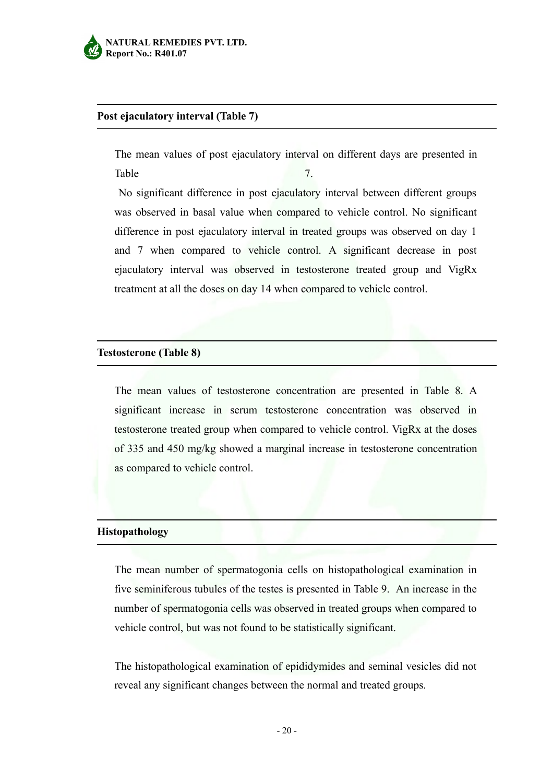

### **Post ejaculatory interval (Table 7)**

The mean values of post ejaculatory interval on different days are presented in Table 7.

No significant difference in post ejaculatory interval between different groups was observed in basal value when compared to vehicle control. No significant difference in post ejaculatory interval in treated groups was observed on day 1 and 7 when compared to vehicle control. A significant decrease in post ejaculatory interval was observed in testosterone treated group and VigRx treatment at all the doses on day 14 when compared to vehicle control.

#### **Testosterone (Table 8)**

The mean values of testosterone concentration are presented in Table 8. A significant increase in serum testosterone concentration was observed in testosterone treated group when compared to vehicle control. VigRx at the doses of 335 and 450 mg/kg showed a marginal increase in testosterone concentration as compared to vehicle control.

#### **Histopathology**

The mean number of spermatogonia cells on histopathological examination in five seminiferous tubules of the testes is presented in Table 9. An increase in the number of spermatogonia cells was observed in treated groups when compared to vehicle control, but was not found to be statistically significant.

The histopathological examination of epididymides and seminal vesicles did not reveal any significant changes between the normal and treated groups.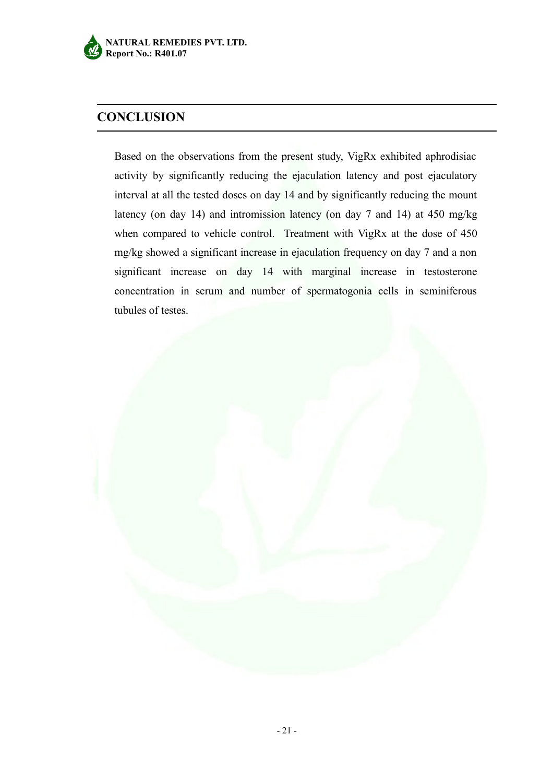

## **CONCLUSION**

Based on the observations from the present study, VigRx exhibited aphrodisiac activity by significantly reducing the ejaculation latency and post ejaculatory interval at all the tested doses on day 14 and by significantly reducing the mount latency (on day 14) and intromission latency (on day 7 and 14) at 450 mg/kg when compared to vehicle control. Treatment with VigRx at the dose of 450 mg/kg showed a significant increase in ejaculation frequency on day 7 and a non significant increase on day 14 with marginal increase in testosterone concentration in serum and number of spermatogonia cells in seminiferous tubules of testes.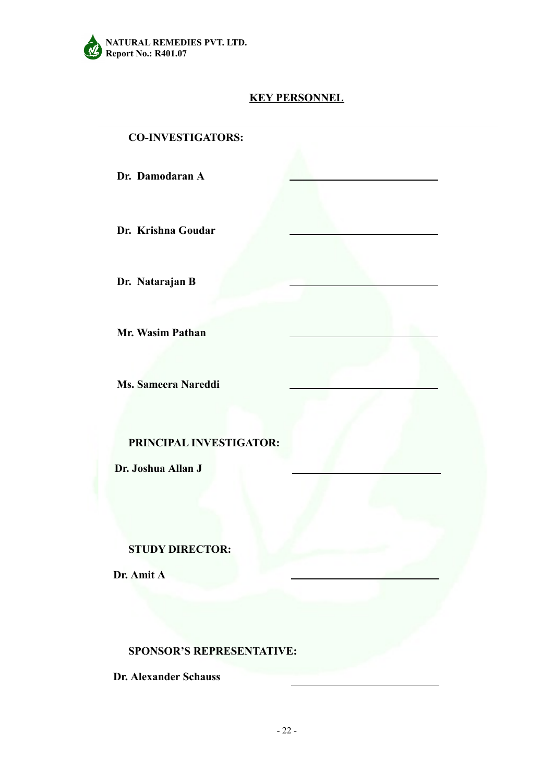

## **KEY PERSONNEL**

**CO-INVESTIGATORS:**

**Dr. Damodaran A**

**Dr. Krishna Goudar**

**Dr. Natarajan B**

**Mr. Wasim Pathan**

**Ms. Sameera Nareddi**

**PRINCIPAL INVESTIGATOR:**

**Dr. Joshua Allan J**

### **STUDY DIRECTOR:**

**Dr. Amit A**

#### **SPONSOR'S REPRESENTATIVE:**

**Dr. Alexander Schauss**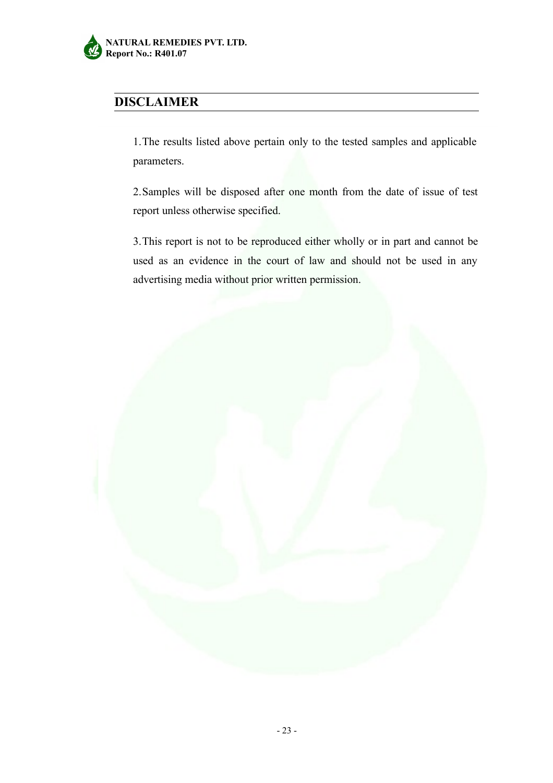

## **DISCLAIMER**

1.The results listed above pertain only to the tested samples and applicable parameters.

2.Samples will be disposed after one month from the date of issue of test report unless otherwise specified.

3.This report is not to be reproduced either wholly or in part and cannot be used as an evidence in the court of law and should not be used in any advertising media without prior written permission.

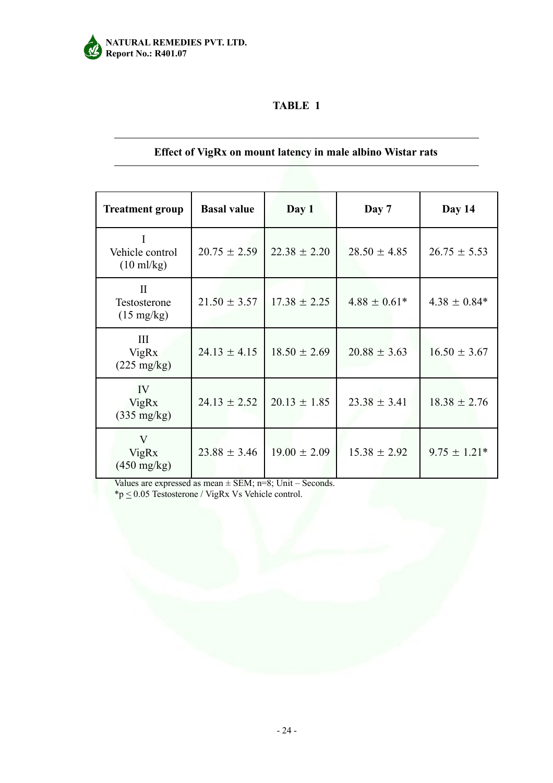

## **Effect of VigRx on mount latency in male albino Wistar rats**

| <b>Treatment group</b>                               | <b>Basal value</b> | Day 1            | Day 7            | Day 14           |
|------------------------------------------------------|--------------------|------------------|------------------|------------------|
| Vehicle control<br>$(10 \text{ ml/kg})$              | $20.75 \pm 2.59$   | $22.38 \pm 2.20$ | $28.50 \pm 4.85$ | $26.75 \pm 5.53$ |
| $\mathbf{I}$<br>Testosterone<br>$(15 \text{ mg/kg})$ | $21.50 \pm 3.57$   | $17.38 \pm 2.25$ | $4.88 \pm 0.61*$ | $4.38 \pm 0.84*$ |
| III<br><b>VigRx</b><br>$(225 \text{ mg/kg})$         | $24.13 \pm 4.15$   | $18.50 \pm 2.69$ | $20.88 \pm 3.63$ | $16.50 \pm 3.67$ |
| IV<br>VigRx<br>$(335 \text{ mg/kg})$                 | $24.13 \pm 2.52$   | $20.13 \pm 1.85$ | $23.38 \pm 3.41$ | $18.38 \pm 2.76$ |
| V<br>VigRx<br>$(450 \text{ mg/kg})$                  | $23.88 \pm 3.46$   | $19.00 \pm 2.09$ | $15.38 \pm 2.92$ | $9.75 \pm 1.21*$ |

Values are expressed as mean  $\pm$  SEM; n=8; Unit – Seconds.

\*p  $\leq$  0.05 Testosterone / VigRx Vs Vehicle control.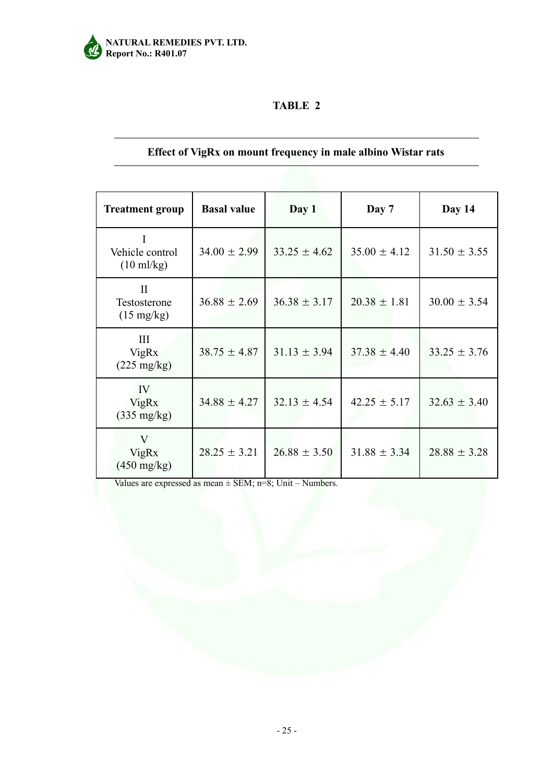

## **Effect of VigRx on mount frequency in male albino Wistar rats**

| <b>Treatment group</b>                           | <b>Basal value</b> | Day 1            | Day 7            | Day 14           |
|--------------------------------------------------|--------------------|------------------|------------------|------------------|
| Vehicle control<br>$(10 \text{ ml/kg})$          | $34.00 \pm 2.99$   | $33.25 \pm 4.62$ | $35.00 \pm 4.12$ | $31.50 \pm 3.55$ |
| $\rm II$<br>Testosterone<br>$(15 \text{ mg/kg})$ | $36.88 \pm 2.69$   | $36.38 \pm 3.17$ | $20.38 \pm 1.81$ | $30.00 \pm 3.54$ |
| III<br><b>VigRx</b><br>$(225 \text{ mg/kg})$     | $38.75 \pm 4.87$   | $31.13 \pm 3.94$ | $37.38 \pm 4.40$ | $33.25 \pm 3.76$ |
| IV<br>VigRx<br>$(335 \text{ mg/kg})$             | $34.88 \pm 4.27$   | $32.13 \pm 4.54$ | $42.25 \pm 5.17$ | $32.63 \pm 3.40$ |
| V<br>VigRx<br>$(450 \text{ mg/kg})$              | $28.25 \pm 3.21$   | $26.88 \pm 3.50$ | $31.88 \pm 3.34$ | $28.88 \pm 3.28$ |

Values are expressed as mean ± SEM; n=8; Unit – Numbers.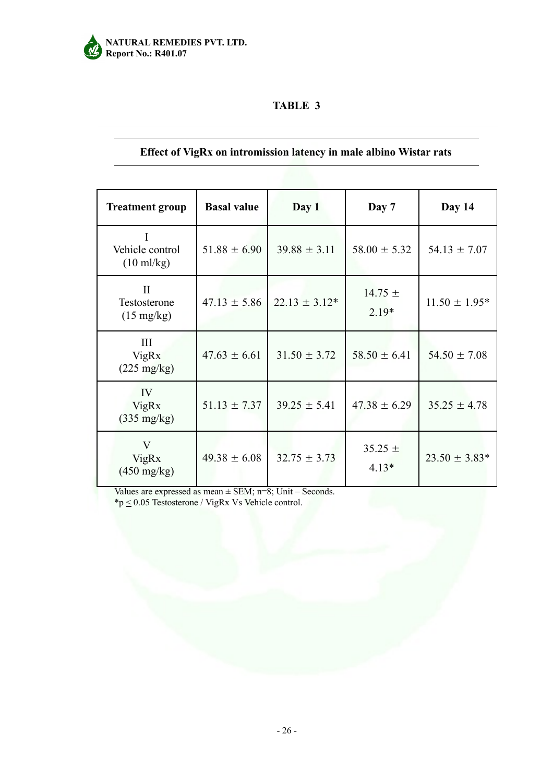

## **Effect of VigRx on intromission latency in male albino Wistar rats**

| <b>Treatment group</b>                               | <b>Basal value</b> | Day 1             | Day 7                  | Day 14            |
|------------------------------------------------------|--------------------|-------------------|------------------------|-------------------|
| I<br>Vehicle control<br>$(10 \text{ ml/kg})$         | $51.88 \pm 6.90$   | $39.88 \pm 3.11$  | $58.00 \pm 5.32$       | $54.13 \pm 7.07$  |
| $\mathbf{I}$<br>Testosterone<br>$(15 \text{ mg/kg})$ | $47.13 \pm 5.86$   | $22.13 \pm 3.12*$ | $14.75 \pm$<br>$2.19*$ | $11.50 \pm 1.95*$ |
| III<br><b>VigRx</b><br>$(225 \text{ mg/kg})$         | $47.63 \pm 6.61$   | $31.50 \pm 3.72$  | $58.50 \pm 6.41$       | $54.50 \pm 7.08$  |
| IV<br>VigRx<br>$(335 \text{ mg/kg})$                 | $51.13 \pm 7.37$   | $39.25 \pm 5.41$  | $47.38 \pm 6.29$       | $35.25 \pm 4.78$  |
| V<br>VigRx<br>$(450 \text{ mg/kg})$                  | $49.38 \pm 6.08$   | $32.75 \pm 3.73$  | $35.25 \pm$<br>$4.13*$ | $23.50 \pm 3.83*$ |

Values are expressed as mean  $\pm$  SEM; n=8; Unit – Seconds. \*p  $\leq$  0.05 Testosterone / VigRx Vs Vehicle control.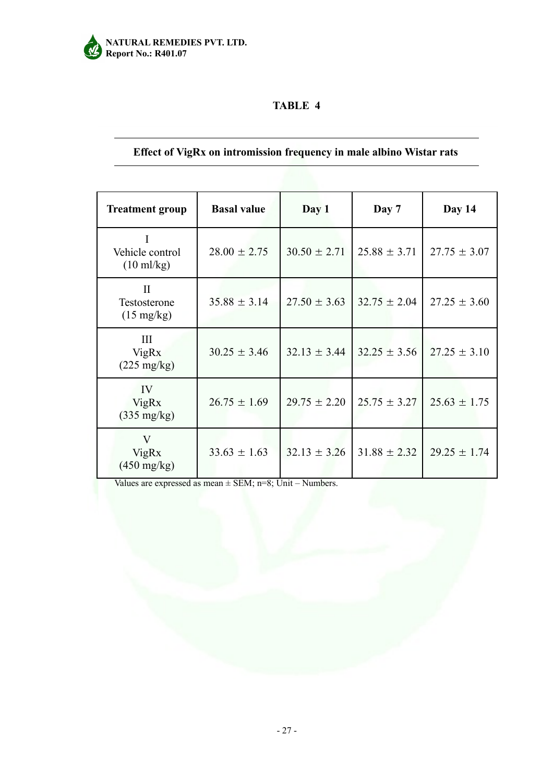

## **Effect of VigRx on intromission frequency in male albino Wistar rats**

| <b>Treatment group</b>                               | <b>Basal value</b> | Day 1            | Day 7            | Day 14           |
|------------------------------------------------------|--------------------|------------------|------------------|------------------|
| I<br>Vehicle control<br>$(10 \text{ ml/kg})$         | $28.00 \pm 2.75$   | $30.50 \pm 2.71$ | $25.88 \pm 3.71$ | $27.75 \pm 3.07$ |
| $\mathbf{I}$<br>Testosterone<br>$(15 \text{ mg/kg})$ | $35.88 \pm 3.14$   | $27.50 \pm 3.63$ | $32.75 \pm 2.04$ | $27.25 \pm 3.60$ |
| III<br><b>VigRx</b><br>$(225 \text{ mg/kg})$         | $30.25 \pm 3.46$   | $32.13 \pm 3.44$ | $32.25 \pm 3.56$ | $27.25 \pm 3.10$ |
| IV<br>VigRx<br>$(335 \text{ mg/kg})$                 | $26.75 \pm 1.69$   | $29.75 \pm 2.20$ | $25.75 \pm 3.27$ | $25.63 \pm 1.75$ |
| V<br>VigRx<br>$(450 \text{ mg/kg})$                  | $33.63 \pm 1.63$   | $32.13 \pm 3.26$ | $31.88 \pm 2.32$ | $29.25 \pm 1.74$ |

Values are expressed as mean  $\pm$  SEM; n=8; Unit – Numbers.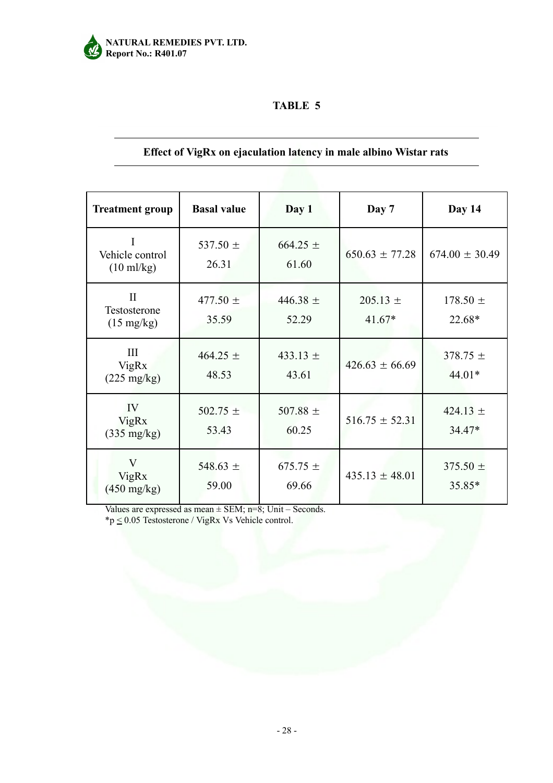

## **Effect of VigRx on ejaculation latency in male albino Wistar rats**

| <b>Treatment group</b>                                    | <b>Basal value</b>    | Day 1                 | Day 7                    | Day 14                   |
|-----------------------------------------------------------|-----------------------|-----------------------|--------------------------|--------------------------|
| Vehicle control<br>$(10 \text{ ml/kg})$                   | 537.50 $\pm$<br>26.31 | $664.25 \pm$<br>61.60 | $650.63 \pm 77.28$       | $674.00 \pm 30.49$       |
| $\mathbf{I}$<br>Testosterone<br>$(15 \text{ mg/kg})$      | 477.50 $\pm$<br>35.59 | 446.38 $\pm$<br>52.29 | $205.13 \pm$<br>$41.67*$ | $178.50 \pm$<br>22.68*   |
| III<br><b>VigRx</b><br>$(225 \text{ mg/kg})$              | 464.25 $\pm$<br>48.53 | 433.13 $\pm$<br>43.61 | $426.63 \pm 66.69$       | $378.75 \pm$<br>$44.01*$ |
| IV<br>VigRx<br>$(335 \text{ mg/kg})$                      | $502.75 \pm$<br>53.43 | 507.88 $\pm$<br>60.25 | $516.75 \pm 52.31$       | 424.13 $\pm$<br>$34.47*$ |
| $\overline{\mathbf{V}}$<br>VigRx<br>$(450 \text{ mg/kg})$ | 548.63 $\pm$<br>59.00 | 675.75 $\pm$<br>69.66 | $435.13 \pm 48.01$       | $375.50 \pm$<br>35.85*   |

Values are expressed as mean  $\pm$  SEM; n=8; Unit – Seconds. \*p  $\leq$  0.05 Testosterone / VigRx Vs Vehicle control.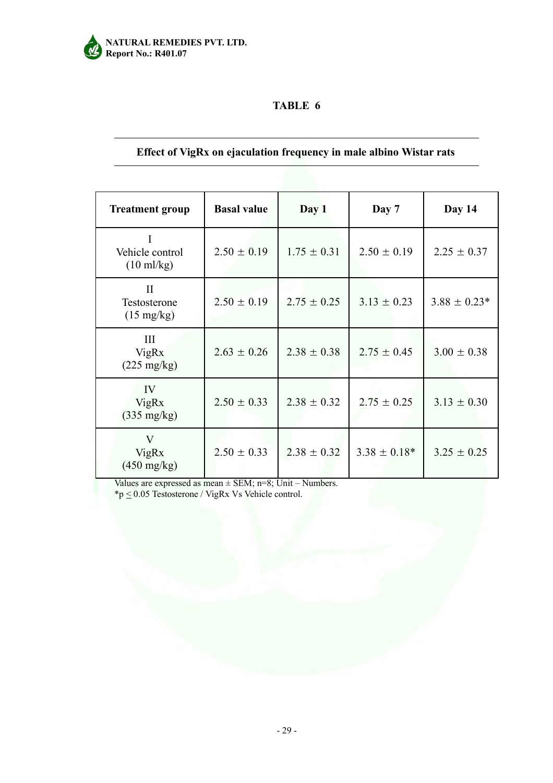

## **Effect of VigRx on ejaculation frequency in male albino Wistar rats**

| <b>Treatment group</b>                               | <b>Basal value</b> | Day 1           | Day 7             | Day 14           |
|------------------------------------------------------|--------------------|-----------------|-------------------|------------------|
| Ι<br>Vehicle control<br>$(10 \text{ ml/kg})$         | $2.50 \pm 0.19$    | $1.75 \pm 0.31$ | $2.50 \pm 0.19$   | $2.25 \pm 0.37$  |
| $\mathbf{I}$<br>Testosterone<br>$(15 \text{ mg/kg})$ | $2.50 \pm 0.19$    | $2.75 \pm 0.25$ | $3.13 \pm 0.23$   | $3.88 \pm 0.23*$ |
| III<br><b>VigRx</b><br>$(225 \text{ mg/kg})$         | $2.63 \pm 0.26$    | $2.38 \pm 0.38$ | $2.75 \pm 0.45$   | $3.00 \pm 0.38$  |
| IV<br><b>VigRx</b><br>$(335 \text{ mg/kg})$          | $2.50 \pm 0.33$    | $2.38 \pm 0.32$ | $2.75 \pm 0.25$   | $3.13 \pm 0.30$  |
| V<br>VigRx<br>$(450 \text{ mg/kg})$                  | $2.50 \pm 0.33$    | $2.38 \pm 0.32$ | $3.38 \pm 0.18^*$ | $3.25 \pm 0.25$  |

Values are expressed as mean  $\pm$  SEM; n=8; Unit – Numbers.

\*p  $\leq$  0.05 Testosterone / VigRx Vs Vehicle control.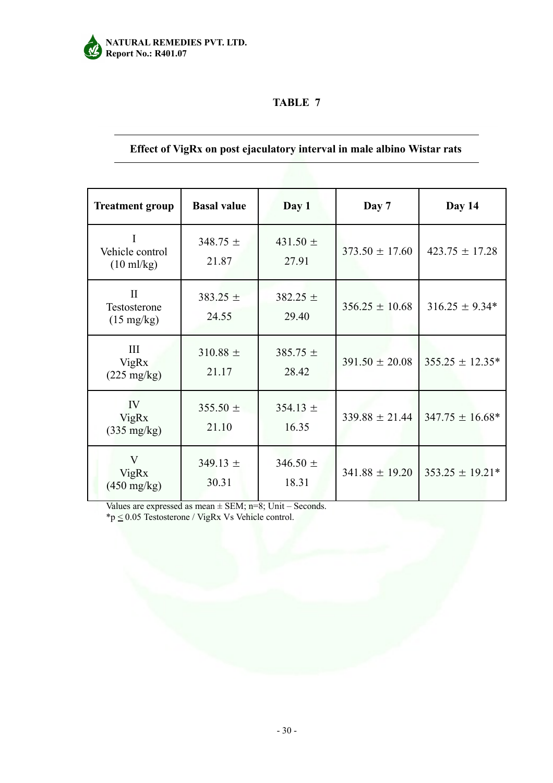

## **Effect of VigRx on post ejaculatory interval in male albino Wistar rats**

| <b>Treatment group</b>                                    | <b>Basal value</b>    | Day 1                 | Day 7              | Day 14              |
|-----------------------------------------------------------|-----------------------|-----------------------|--------------------|---------------------|
| I<br>Vehicle control<br>$(10 \text{ ml/kg})$              | 348.75 $\pm$<br>21.87 | 431.50 $\pm$<br>27.91 | $373.50 \pm 17.60$ | $423.75 \pm 17.28$  |
| $\mathbf{H}$<br>Testosterone<br>$(15 \text{ mg/kg})$      | $383.25 \pm$<br>24.55 | $382.25 \pm$<br>29.40 | $356.25 \pm 10.68$ | $316.25 \pm 9.34*$  |
| III<br><b>VigRx</b><br>$(225 \text{ mg/kg})$              | $310.88 \pm$<br>21.17 | $385.75 \pm$<br>28.42 | $391.50 \pm 20.08$ | $355.25 \pm 12.35*$ |
| IV<br><b>VigRx</b><br>$(335 \text{ mg/kg})$               | 355.50 $\pm$<br>21.10 | $354.13 \pm$<br>16.35 | $339.88 \pm 21.44$ | $347.75 \pm 16.68*$ |
| $\overline{\mathsf{V}}$<br>VigRx<br>$(450 \text{ mg/kg})$ | $349.13 \pm$<br>30.31 | $346.50 \pm$<br>18.31 | $341.88 \pm 19.20$ | $353.25 \pm 19.21*$ |

Values are expressed as mean  $\pm$  SEM; n=8; Unit – Seconds.  $np \leq 0.05$  Testosterone / VigRx Vs Vehicle control.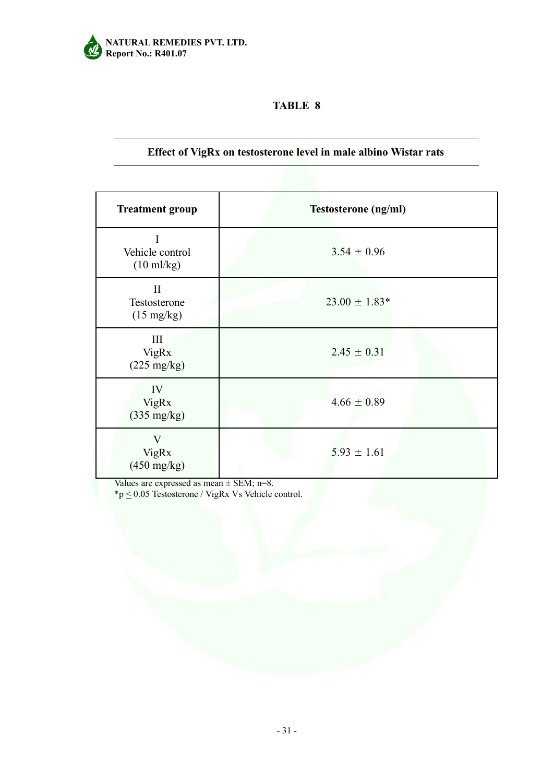

## **Effect of VigRx on testosterone level in male albino Wistar rats**

| <b>Treatment group</b>                               | <b>Testosterone</b> (ng/ml) |
|------------------------------------------------------|-----------------------------|
| Vehicle control<br>$(10 \text{ ml/kg})$              | $3.54 \pm 0.96$             |
| $\mathbf{I}$<br>Testosterone<br>$(15 \text{ mg/kg})$ | $23.00 \pm 1.83*$           |
| III<br>VigRx<br>$(225 \text{ mg/kg})$                | $2.45 \pm 0.31$             |
| IV<br><b>VigRx</b><br>$(335 \text{ mg/kg})$          | $4.66 \pm 0.89$             |
| V<br>VigRx<br>$(450 \text{ mg/kg})$                  | $5.93 \pm 1.61$             |

Values are expressed as mean  $\pm$  SEM; n=8.

\*p  $\leq$  0.05 Testosterone / VigRx Vs Vehicle control.